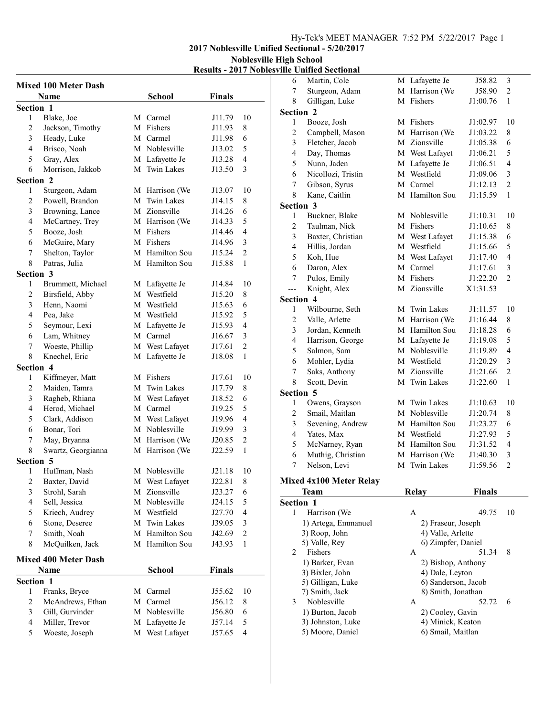## Hy-Tek's MEET MANAGER 7:52 PM 5/22/2017 Page 1

2017 Noblesville Unified Sectional - 5/20/2017 Noblesville High School

## Results - 2017 Noblesville Unified Sectional

|                  | <b>Mixed 100 Meter Dash</b> |   |                   |               |                |
|------------------|-----------------------------|---|-------------------|---------------|----------------|
|                  | Name                        |   | <b>School</b>     | <b>Finals</b> |                |
| <b>Section 1</b> |                             |   |                   |               |                |
| 1                | Blake, Joe                  |   | M Carmel          | J11.79        | 10             |
| 2                | Jackson, Timothy            |   | M Fishers         | J11.93        | 8              |
| 3                | Heady, Luke                 |   | M Carmel          | J11.98        | 6              |
| 4                | Brisco, Noah                |   | M Noblesville     | J13.02        | 5              |
| 5                | Gray, Alex                  |   | M Lafayette Je    | J13.28        | 4              |
| 6                | Morrison, Jakkob            |   | M Twin Lakes      | J13.50        | 3              |
| Section 2        |                             |   |                   |               |                |
| 1                | Sturgeon, Adam              |   | M Harrison (We    | J13.07        | 10             |
| 2                | Powell, Brandon             | М | <b>Twin Lakes</b> | J14.15        | 8              |
| 3                | Browning, Lance             |   | M Zionsville      | J14.26        | 6              |
| $\overline{4}$   | McCartney, Trey             |   | M Harrison (We    | J14.33        | 5              |
| 5                | Booze, Josh                 |   | M Fishers         | J14.46        | 4              |
| 6                | McGuire, Mary               |   | M Fishers         | J14.96        | 3              |
| 7                | Shelton, Taylor             |   | M Hamilton Sou    | J15.24        | $\overline{c}$ |
| 8                | Patras, Julia               |   | M Hamilton Sou    | J15.88        | 1              |
| Section 3        |                             |   |                   |               |                |
| 1                | Brummett, Michael           |   | M Lafayette Je    | J14.84        | 10             |
| 2                | Birsfield, Abby             |   | M Westfield       | J15.20        | 8              |
| 3                | Henn, Naomi                 |   | M Westfield       | J15.63        | 6              |
| 4                | Pea, Jake                   |   | M Westfield       | J15.92        | 5              |
| 5                | Seymour, Lexi               |   | M Lafayette Je    | J15.93        | 4              |
| 6                | Lam, Whitney                |   | M Carmel          | J16.67        | 3              |
| 7                | Woeste, Phillip             |   | M West Lafayet    | J17.61        | $\overline{c}$ |
| 8                | Knechel, Eric               |   | M Lafayette Je    | J18.08        | 1              |
| Section 4        |                             |   |                   |               |                |
| 1                | Kiffmeyer, Matt             |   | M Fishers         | J17.61        | 10             |
| 2                | Maiden, Tamra               |   | M Twin Lakes      | J17.79        | 8              |
| 3                | Ragheb, Rhiana              |   | M West Lafayet    | J18.52        | 6              |
| 4                | Herod, Michael              |   | M Carmel          | J19.25        | 5              |
| 5                | Clark, Addison              |   | M West Lafayet    | J19.96        | 4              |
| 6                | Bonar, Tori                 |   | M Noblesville     | J19.99        | 3              |
| 7                | May, Bryanna                |   | M Harrison (We    | J20.85        | 2              |
| 8                | Swartz, Georgianna          |   | M Harrison (We    | J22.59        | 1              |
| <b>Section 5</b> |                             |   |                   |               |                |
| 1                | Huffman, Nash               |   | M Noblesville     | J21.18        | 10             |
| 2                | Baxter, David               |   | M West Lafayet    | J22.81        | 8              |
| 3                | Strohl, Sarah               |   | M Zionsville      | J23.27        | 6              |
| 4                | Sell, Jessica               |   | M Noblesville     | J24.15        | 5              |
| 5                | Kriech, Audrey              |   | M Westfield       | J27.70        | 4              |
| 6                | Stone, Deseree              | М | <b>Twin Lakes</b> | J39.05        | $\mathfrak{Z}$ |
| 7                | Smith, Noah                 |   | M Hamilton Sou    | J42.69        | $\overline{c}$ |
| 8                | McQuilken, Jack             |   | M Hamilton Sou    | J43.93        | $\mathbf{1}$   |
|                  | <b>Mixed 400 Meter Dash</b> |   |                   |               |                |
|                  | Name                        |   | School            | <b>Finals</b> |                |
| Section 1        |                             |   |                   |               |                |
| 1                | Franks, Bryce               | М | Carmel            | J55.62        | 10             |
| $\overline{c}$   | McAndrews, Ethan            | М | Carmel            | J56.12        | 8              |
| 3                | Gill, Gurvinder             | М | Noblesville       | J56.80        | 6              |
| $\overline{4}$   | Miller, Trevor              |   | M Lafayette Je    | J57.14        | 5              |
| 5                | Woeste, Joseph              |   | M West Lafayet    | J57.65        | 4              |
|                  |                             |   |                   |               |                |

| 6              | Martin, Cole                   |   | M Lafayette Je      | J58.82        | 3                       |
|----------------|--------------------------------|---|---------------------|---------------|-------------------------|
| 7              | Sturgeon, Adam                 |   | M Harrison (We      | J58.90        | $\overline{c}$          |
| 8              | Gilligan, Luke                 |   | M Fishers           | J1:00.76      | 1                       |
|                | Section 2                      |   |                     |               |                         |
| 1              | Booze, Josh                    |   | M Fishers           | J1:02.97      | 10                      |
| $\mathbf{2}$   | Campbell, Mason                |   | M Harrison (We      | J1:03.22      | 8                       |
| 3              | Fletcher, Jacob                |   | M Zionsville        | J1:05.38      | 6                       |
| 4              | Day, Thomas                    |   | M West Lafayet      | J1:06.21      | 5                       |
| 5              | Nunn, Jaden                    |   | M Lafayette Je      | J1:06.51      | $\overline{4}$          |
| 6              | Nicollozi, Tristin             |   | M Westfield         | J1:09.06      | 3                       |
| 7              | Gibson, Syrus                  |   | M Carmel            | J1:12.13      | $\overline{c}$          |
| 8              | Kane, Caitlin                  |   | M Hamilton Sou      | J1:15.59      | 1                       |
|                | Section 3                      |   |                     |               |                         |
| 1              | Buckner, Blake                 |   | M Noblesville       | J1:10.31      | 10                      |
| $\overline{c}$ | Taulman, Nick                  |   | M Fishers           | J1:10.65      | 8                       |
| 3              | Baxter, Christian              |   | M West Lafayet      | J1:15.38      | 6                       |
| $\overline{4}$ | Hillis, Jordan                 |   | M Westfield         | J1:15.66      | 5                       |
| 5              | Koh, Hue                       |   | M West Lafayet      | J1:17.40      | $\overline{4}$          |
| 6              | Daron, Alex                    |   | M Carmel            | J1:17.61      | 3                       |
| $\tau$         | Pulos, Emily                   |   | M Fishers           | J1:22.20      | $\overline{c}$          |
| ---            | Knight, Alex                   |   | M Zionsville        | X1:31.53      |                         |
|                | Section 4                      |   |                     |               |                         |
| 1              | Wilbourne, Seth                |   | M Twin Lakes        | J1:11.57      | 10                      |
| $\overline{c}$ | Valle, Arlette                 |   | M Harrison (We      | J1:16.44      | 8                       |
| 3              | Jordan, Kenneth                |   | M Hamilton Sou      | J1:18.28      | 6                       |
| $\overline{4}$ | Harrison, George               |   | M Lafayette Je      | J1:19.08      | 5                       |
| 5              | Salmon, Sam                    |   | M Noblesville       | J1:19.89      | $\overline{4}$          |
| 6              | Mohler, Lydia                  |   | M Westfield         | J1:20.29      | $\overline{\mathbf{3}}$ |
| 7              | Saks, Anthony                  |   | M Zionsville        | J1:21.66      | $\overline{c}$          |
| 8              | Scott, Devin                   |   | M Twin Lakes        | J1:22.60      | $\mathbf{1}$            |
|                | Section 5                      |   |                     |               |                         |
| 1              | Owens, Grayson                 |   | M Twin Lakes        | J1:10.63      | 10                      |
| $\mathbf{2}$   | Smail, Maitlan                 |   | M Noblesville       | J1:20.74      | 8                       |
| 3              | Sevening, Andrew               |   | M Hamilton Sou      | J1:23.27      | 6                       |
| $\overline{4}$ | Yates, Max                     |   | M Westfield         | J1:27.93      | 5                       |
| 5              | McNarney, Ryan                 |   | M Hamilton Sou      | J1:31.52      | $\overline{4}$          |
| 6              | Muthig, Christian              |   | M Harrison (We      | J1:40.30      | 3                       |
| 7              | Nelson, Levi                   | М | <b>Twin Lakes</b>   | J1:59.56      | $\overline{c}$          |
|                | <b>Mixed 4x100 Meter Relay</b> |   |                     |               |                         |
|                | Team                           |   | Relay               | <b>Finals</b> |                         |
|                | <b>Section 1</b>               |   |                     |               |                         |
| 1              | Harrison (We                   |   | A                   | 49.75         | 10                      |
|                | 1) Artega, Emmanuel            |   | 2) Fraseur, Joseph  |               |                         |
|                | 3) Roop, John                  |   | 4) Valle, Arlette   |               |                         |
|                | 5) Valle, Rey                  |   | 6) Zimpfer, Daniel  |               |                         |
| 2              | Fishers                        |   | A                   | 51.34         | 8                       |
|                | 1) Barker, Evan                |   | 2) Bishop, Anthony  |               |                         |
|                | 3) Bixler, John                |   | 4) Dale, Leyton     |               |                         |
|                | 5) Gilligan, Luke              |   | 6) Sanderson, Jacob |               |                         |
|                | 7) Smith, Jack                 |   | 8) Smith, Jonathan  |               |                         |
| 3              | Noblesville                    |   | A                   | 52.72         | 6                       |
|                | 1) Burton, Jacob               |   | 2) Cooley, Gavin    |               |                         |
|                | 3) Johnston, Luke              |   | 4) Minick, Keaton   |               |                         |
|                | 5) Moore, Daniel               |   | 6) Smail, Maitlan   |               |                         |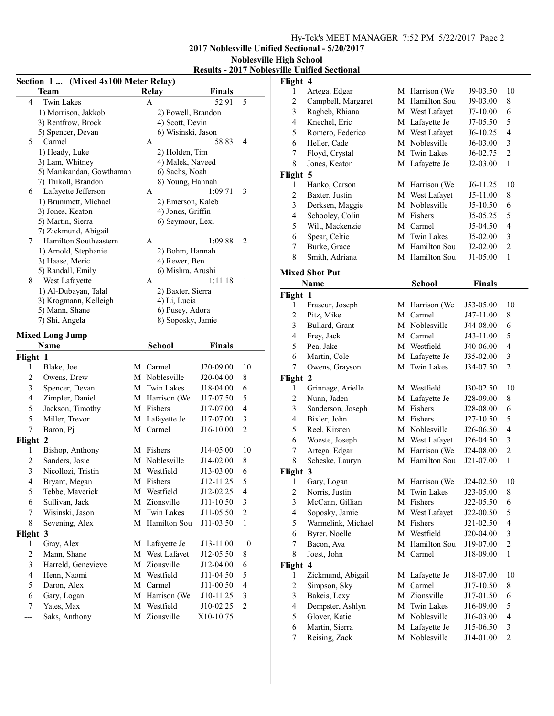## Hy-Tek's MEET MANAGER 7:52 PM 5/22/2017 Page 2

2017 Noblesville Unified Sectional - 5/20/2017 Noblesville High School

| <b>Results - 2017 Noblesville Unified Sectional</b> |
|-----------------------------------------------------|
| Flight 4                                            |

| (Mixed 4x100 Meter Relay)<br>Section 1 |                                      |   |                                    |                        |                 |
|----------------------------------------|--------------------------------------|---|------------------------------------|------------------------|-----------------|
|                                        | Team                                 |   | <b>Relay</b>                       | <b>Finals</b>          |                 |
| 4                                      | <b>Twin Lakes</b>                    |   | A                                  | 52.91                  | 5               |
|                                        | 1) Morrison, Jakkob                  |   | 2) Powell, Brandon                 |                        |                 |
|                                        | 3) Rentfrow, Brock                   |   | 4) Scott, Devin                    |                        |                 |
|                                        | 5) Spencer, Devan                    |   | 6) Wisinski, Jason                 |                        |                 |
| 5                                      | Carmel                               |   | А                                  | 58.83                  | 4               |
|                                        | 1) Heady, Luke                       |   | 2) Holden, Tim                     |                        |                 |
|                                        | 3) Lam, Whitney                      |   | 4) Malek, Naveed                   |                        |                 |
|                                        | 5) Manikandan, Gowthaman             |   | 6) Sachs, Noah                     |                        |                 |
|                                        | 7) Thikoll, Brandon                  |   | 8) Young, Hannah                   |                        |                 |
| 6                                      | Lafayette Jefferson                  |   | А                                  | 1:09.71                | 3               |
|                                        | 1) Brummett, Michael                 |   | 2) Emerson, Kaleb                  |                        |                 |
|                                        | 3) Jones, Keaton                     |   | 4) Jones, Griffin                  |                        |                 |
|                                        | 5) Martin, Sierra                    |   | 6) Seymour, Lexi                   |                        |                 |
|                                        | 7) Zickmund, Abigail                 |   | A                                  | 1:09.88                |                 |
| 7                                      | Hamilton Southeastern                |   |                                    |                        | 2               |
|                                        | 1) Arnold, Stephanie                 |   | 2) Bohm, Hannah                    |                        |                 |
|                                        | 3) Haase, Meric<br>5) Randall, Emily |   | 4) Rewer, Ben<br>6) Mishra, Arushi |                        |                 |
| 8                                      | West Lafayette                       |   | A                                  | 1:11.18                | 1               |
|                                        | 1) Al-Dubayan, Talal                 |   | 2) Baxter, Sierra                  |                        |                 |
|                                        | 3) Krogmann, Kelleigh                |   | 4) Li, Lucia                       |                        |                 |
|                                        | 5) Mann, Shane                       |   | 6) Pusey, Adora                    |                        |                 |
|                                        | 7) Shi, Angela                       |   | 8) Soposky, Jamie                  |                        |                 |
|                                        |                                      |   |                                    |                        |                 |
|                                        | <b>Mixed Long Jump</b>               |   |                                    |                        |                 |
|                                        | Name                                 |   | School                             | Finals                 |                 |
| Flight 1                               |                                      |   |                                    |                        |                 |
| 1                                      | Blake, Joe                           |   | M Carmel                           | J20-09.00              | 10              |
| 2                                      | Owens, Drew                          |   | M Noblesville                      | J20-04.00              | 8               |
| 3                                      | Spencer, Devan                       |   | M Twin Lakes                       | J18-04.00              | 6               |
| $\overline{4}$                         | Zimpfer, Daniel                      |   | M Harrison (We                     | J17-07.50              | 5               |
| 5                                      | Jackson, Timothy                     |   | M Fishers                          | J17-07.00              | 4               |
| 5                                      | Miller, Trevor                       |   | M Lafayette Je                     | J17-07.00              | 3               |
| 7                                      | Baron, Pj                            |   | M Carmel                           | J16-10.00              | 2               |
| Flight 2                               |                                      |   |                                    |                        |                 |
| 1<br>$\overline{c}$                    | Bishop, Anthony<br>Sanders, Josie    | M | M Fishers<br>Noblesville           | J14-05.00<br>J14-02.00 | 10<br>8         |
| 3                                      |                                      |   | M Westfield                        | J13-03.00              |                 |
| $\overline{\mathcal{L}}$               | Nicollozi, Tristin                   |   | M Fishers                          | J12-11.25              | 6<br>5          |
|                                        | Bryant, Megan                        |   |                                    |                        |                 |
| 5                                      | Tebbe, Maverick                      |   | M Westfield<br>M Zionsville        | J12-02.25<br>J11-10.50 | 4               |
| 6                                      | Sullivan, Jack                       |   | M Twin Lakes                       |                        | 3<br>$\sqrt{2}$ |
| 7<br>8                                 | Wisinski, Jason<br>Sevening, Alex    |   | M Hamilton Sou                     | J11-05.50<br>J11-03.50 | $\mathbf{1}$    |
|                                        |                                      |   |                                    |                        |                 |
| Flight 3<br>1                          | Gray, Alex                           |   | M Lafayette Je                     | J13-11.00              | 10              |
| 2                                      | Mann, Shane                          | М | West Lafayet                       | J12-05.50              | 8               |
| 3                                      | Harreld, Genevieve                   | М | Zionsville                         | J12-04.00              | 6               |
| 4                                      | Henn, Naomi                          | М | Westfield                          | J11-04.50              | 5               |
| 5                                      | Daron, Alex                          | М | Carmel                             | J11-00.50              | $\overline{4}$  |
| 6                                      | Gary, Logan                          | М | Harrison (We                       | J10-11.25              | $\mathfrak{Z}$  |
| 7                                      |                                      | М | Westfield                          |                        | $\mathfrak{2}$  |
|                                        | Yates, Max                           |   |                                    | J10-02.25              |                 |
| ---                                    | Saks, Anthony                        |   | M Zionsville                       | X10-10.75              |                 |

| r ngnt                   | 4                       |   |                   |               |                          |
|--------------------------|-------------------------|---|-------------------|---------------|--------------------------|
| 1                        | Artega, Edgar           |   | M Harrison (We    | J9-03.50      | 10                       |
| $\overline{c}$           | Campbell, Margaret      |   | M Hamilton Sou    | J9-03.00      | 8                        |
| 3                        | Ragheb, Rhiana          |   | M West Lafayet    | $J7-10.00$    | 6                        |
| 4                        | Knechel, Eric           | M | Lafayette Je      | J7-05.50      | 5                        |
| 5                        | Romero, Federico        | М | West Lafayet      | J6-10.25      | $\overline{4}$           |
| 6                        | Heller, Cade            | М | Noblesville       | J6-03.00      | 3                        |
| 7                        | Floyd, Crystal          | М | Twin Lakes        | J6-02.75      | $\overline{c}$           |
| 8                        | Jones, Keaton           |   | M Lafayette Je    | J2-03.00      | 1                        |
| Flight                   | 5                       |   |                   |               |                          |
| 1                        | Hanko, Carson           |   | M Harrison (We    | $J6-11.25$    | 10                       |
| $\overline{c}$           | Baxter, Justin          |   | M West Lafayet    | J5-11.00      | 8                        |
| 3                        | Derksen, Maggie         |   | M Noblesville     | J5-10.50      | 6                        |
| $\overline{\mathcal{L}}$ | Schooley, Colin         |   | M Fishers         | J5-05.25      | 5                        |
| 5                        | Wilt, Mackenzie         |   | M Carmel          | J5-04.50      | $\overline{4}$           |
| 6                        | Spear, Celtic           |   | M Twin Lakes      | J5-02.00      | 3                        |
| 7                        | Burke, Grace            |   | M Hamilton Sou    | J2-02.00      | $\overline{c}$           |
| 8                        | Smith, Adriana          |   | M Hamilton Sou    | J1-05.00      | 1                        |
|                          |                         |   |                   |               |                          |
|                          | <b>Mixed Shot Put</b>   |   |                   |               |                          |
|                          | Name                    |   | <b>School</b>     | <b>Finals</b> |                          |
| Flight 1                 |                         |   |                   |               |                          |
| 1                        | Fraseur, Joseph         | М | Harrison (We      | J53-05.00     | 10                       |
| $\overline{c}$           | Pitz, Mike              | М | Carmel            | J47-11.00     | 8                        |
| 3                        | Bullard, Grant          | М | Noblesville       | J44-08.00     | 6                        |
| $\overline{\mathbf{4}}$  | Frey, Jack              |   | M Carmel          | J43-11.00     | 5                        |
| 5                        | Pea, Jake               |   | M Westfield       | J40-06.00     | $\overline{4}$           |
| 6                        | Martin, Cole            |   | M Lafayette Je    | J35-02.00     | 3                        |
| 7                        | Owens, Grayson          | М | <b>Twin Lakes</b> | J34-07.50     | $\overline{2}$           |
| Flight 2                 |                         |   |                   |               |                          |
| 1                        | Grinnage, Arielle       |   | M Westfield       | J30-02.50     | 10                       |
| $\overline{c}$           | Nunn, Jaden             |   | M Lafayette Je    | J28-09.00     | 8                        |
| $\mathfrak{Z}$           | Sanderson, Joseph       |   | M Fishers         | J28-08.00     | 6                        |
| 4                        | Bixler, John            |   | M Fishers         | J27-10.50     | 5                        |
| 5                        | Reel, Kirsten           |   | M Noblesville     | J26-06.50     | $\overline{\mathcal{L}}$ |
| 6                        | Woeste, Joseph          |   | M West Lafayet    | J26-04.50     | 3                        |
| 7                        | Artega, Edgar           | М | Harrison (We      | J24-08.00     | $\overline{c}$           |
| 8                        | Scheske, Lauryn         |   | M Hamilton Sou    | J21-07.00     | $\mathbf{1}$             |
| Flight 3                 |                         |   |                   |               |                          |
| 1                        | Gary, Logan             |   | M Harrison (We    | J24-02.50     | 10                       |
| $\boldsymbol{2}$         | Norris, Justin          | М | Twin Lakes        | J23-05.00     | 8                        |
| $\mathfrak{Z}$           | McCann, Gillian         | М | Fishers           | J22-05.50     | 6                        |
| 4                        | Soposky, Jamie          | М | West Lafayet      | J22-00.50     | 5                        |
|                          | Warmelink, Michael      |   | Fishers           |               | 4                        |
| 5                        |                         | М | Westfield         | J21-02.50     |                          |
| 6                        | Byrer, Noelle           | М |                   | J20-04.00     | $\mathfrak{Z}$           |
| 7                        | Bacon, Ava              | М | Hamilton Sou      | J19-07.00     | $\overline{c}$           |
| 8                        | Joest, John             | М | Carmel            | J18-09.00     | 1                        |
| Flight                   | $\overline{\mathbf{4}}$ |   |                   |               |                          |
| 1                        | Zickmund, Abigail       | М | Lafayette Je      | J18-07.00     | 10                       |
| $\overline{c}$           | Simpson, Sky            | М | Carmel            | J17-10.50     | 8                        |
| $\overline{\mathbf{3}}$  | Bakeis, Lexy            |   | M Zionsville      | J17-01.50     | 6                        |
| 4                        | Dempster, Ashlyn        | М | Twin Lakes        | J16-09.00     | 5                        |
| 5                        | Glover, Katie           |   | M Noblesville     | J16-03.00     | $\overline{\mathcal{L}}$ |
| 6                        | Martin, Sierra          | М | Lafayette Je      | J15-06.50     | $\mathfrak{Z}$           |
| $\tau$                   | Reising, Zack           | М | Noblesville       | J14-01.00     | $\overline{c}$           |